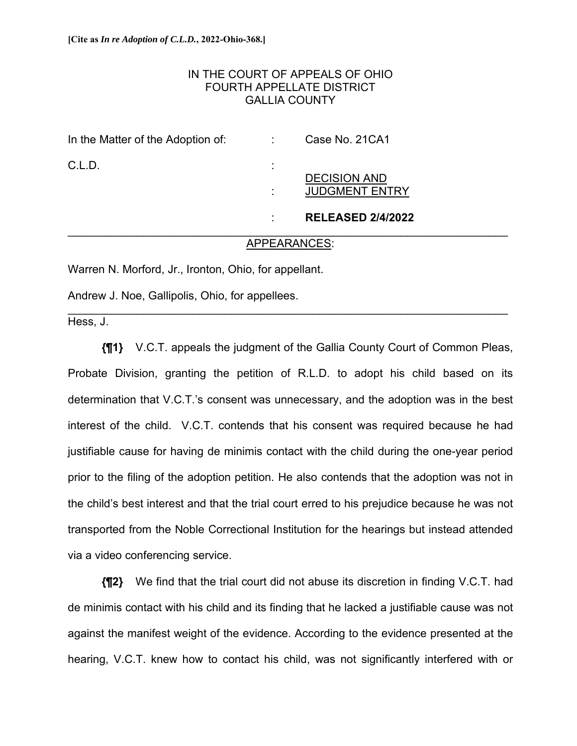## IN THE COURT OF APPEALS OF OHIO FOURTH APPELLATE DISTRICT GALLIA COUNTY

| In the Matter of the Adoption of: |                           | Case No. 21CA1                               |
|-----------------------------------|---------------------------|----------------------------------------------|
| C.L.D.                            | ٠<br>$\blacksquare$<br>л. | <b>DECISION AND</b><br><b>JUDGMENT ENTRY</b> |
|                                   | л.                        | <b>RELEASED 2/4/2022</b>                     |

#### APPEARANCES:

\_\_\_\_\_\_\_\_\_\_\_\_\_\_\_\_\_\_\_\_\_\_\_\_\_\_\_\_\_\_\_\_\_\_\_\_\_\_\_\_\_\_\_\_\_\_\_\_\_\_\_\_\_\_\_\_\_\_\_\_\_\_\_\_\_\_\_\_\_\_

Warren N. Morford, Jr., Ironton, Ohio, for appellant.

Andrew J. Noe, Gallipolis, Ohio, for appellees.

Hess, J.

**{¶1}** V.C.T. appeals the judgment of the Gallia County Court of Common Pleas, Probate Division, granting the petition of R.L.D. to adopt his child based on its determination that V.C.T.'s consent was unnecessary, and the adoption was in the best interest of the child. V.C.T. contends that his consent was required because he had justifiable cause for having de minimis contact with the child during the one-year period prior to the filing of the adoption petition. He also contends that the adoption was not in the child's best interest and that the trial court erred to his prejudice because he was not transported from the Noble Correctional Institution for the hearings but instead attended via a video conferencing service.

**{¶2}** We find that the trial court did not abuse its discretion in finding V.C.T. had de minimis contact with his child and its finding that he lacked a justifiable cause was not against the manifest weight of the evidence. According to the evidence presented at the hearing, V.C.T. knew how to contact his child, was not significantly interfered with or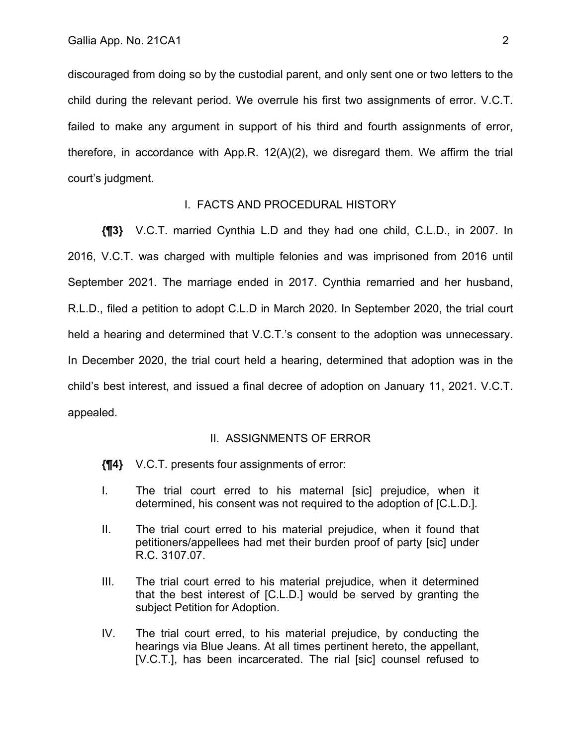discouraged from doing so by the custodial parent, and only sent one or two letters to the child during the relevant period. We overrule his first two assignments of error. V.C.T. failed to make any argument in support of his third and fourth assignments of error, therefore, in accordance with App.R. 12(A)(2), we disregard them. We affirm the trial court's judgment.

## I. FACTS AND PROCEDURAL HISTORY

**{¶3}** V.C.T. married Cynthia L.D and they had one child, C.L.D., in 2007. In 2016, V.C.T. was charged with multiple felonies and was imprisoned from 2016 until September 2021. The marriage ended in 2017. Cynthia remarried and her husband, R.L.D., filed a petition to adopt C.L.D in March 2020. In September 2020, the trial court held a hearing and determined that V.C.T.'s consent to the adoption was unnecessary. In December 2020, the trial court held a hearing, determined that adoption was in the child's best interest, and issued a final decree of adoption on January 11, 2021. V.C.T. appealed.

#### II. ASSIGNMENTS OF ERROR

- **{¶4}** V.C.T. presents four assignments of error:
- I. The trial court erred to his maternal [sic] prejudice, when it determined, his consent was not required to the adoption of [C.L.D.].
- II. The trial court erred to his material prejudice, when it found that petitioners/appellees had met their burden proof of party [sic] under R.C. 3107.07.
- III. The trial court erred to his material prejudice, when it determined that the best interest of [C.L.D.] would be served by granting the subject Petition for Adoption.
- IV. The trial court erred, to his material prejudice, by conducting the hearings via Blue Jeans. At all times pertinent hereto, the appellant, [V.C.T.], has been incarcerated. The rial [sic] counsel refused to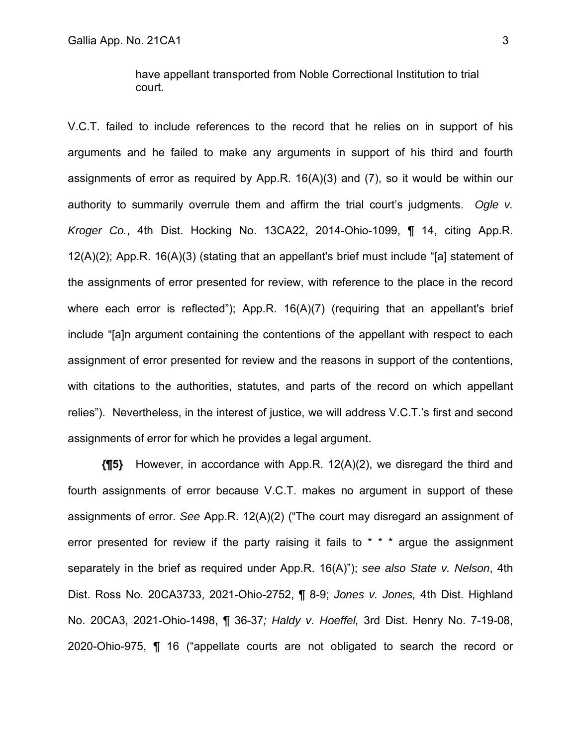V.C.T. failed to include references to the record that he relies on in support of his arguments and he failed to make any arguments in support of his third and fourth assignments of error as required by App.R. 16(A)(3) and (7), so it would be within our authority to summarily overrule them and affirm the trial court's judgments. *Ogle v. Kroger Co.*, 4th Dist. Hocking No. 13CA22, 2014-Ohio-1099, ¶ 14, citing App.R. 12(A)(2); App.R. 16(A)(3) (stating that an appellant's brief must include "[a] statement of the assignments of error presented for review, with reference to the place in the record where each error is reflected"); App.R. 16(A)(7) (requiring that an appellant's brief include "[a]n argument containing the contentions of the appellant with respect to each assignment of error presented for review and the reasons in support of the contentions, with citations to the authorities, statutes, and parts of the record on which appellant relies"). Nevertheless, in the interest of justice, we will address V.C.T.'s first and second assignments of error for which he provides a legal argument.

**{¶5}** However, in accordance with App.R. 12(A)(2), we disregard the third and fourth assignments of error because V.C.T. makes no argument in support of these assignments of error. *See* App.R. 12(A)(2) ("The court may disregard an assignment of error presented for review if the party raising it fails to  $* * *$  argue the assignment separately in the brief as required under App.R. 16(A)"); *see also State v. Nelson*, 4th Dist. Ross No. 20CA3733, 2021-Ohio-2752, ¶ 8-9; *Jones v. Jones,* 4th Dist. Highland No. 20CA3, 2021-Ohio-1498, ¶ 36-37*; Haldy v. Hoeffel,* 3rd Dist. Henry No. 7-19-08, 2020-Ohio-975, ¶ 16 ("appellate courts are not obligated to search the record or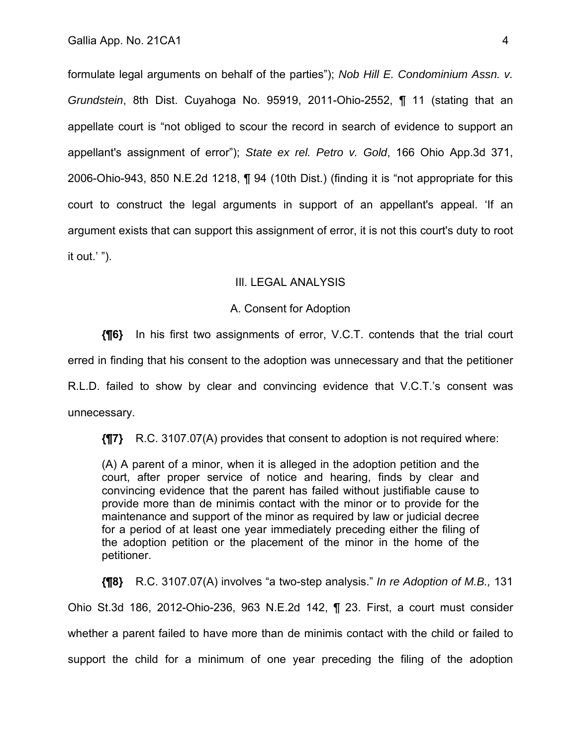formulate legal arguments on behalf of the parties"); *Nob Hill E. Condominium Assn. v. Grundstein*, 8th Dist. Cuyahoga No. 95919, 2011-Ohio-2552, ¶ 11 (stating that an appellate court is "not obliged to scour the record in search of evidence to support an appellant's assignment of error"); *State ex rel. Petro v. Gold*, 166 Ohio App.3d 371, 2006-Ohio-943, 850 N.E.2d 1218, ¶ 94 (10th Dist.) (finding it is "not appropriate for this court to construct the legal arguments in support of an appellant's appeal. 'If an argument exists that can support this assignment of error, it is not this court's duty to root it out.' ").

## IIl. LEGAL ANALYSIS

#### A. Consent for Adoption

**{¶6}** In his first two assignments of error, V.C.T. contends that the trial court erred in finding that his consent to the adoption was unnecessary and that the petitioner R.L.D. failed to show by clear and convincing evidence that V.C.T.'s consent was unnecessary.

**{¶7}** R.C. 3107.07(A) provides that consent to adoption is not required where:

(A) A parent of a minor, when it is alleged in the adoption petition and the court, after proper service of notice and hearing, finds by clear and convincing evidence that the parent has failed without justifiable cause to provide more than de minimis contact with the minor or to provide for the maintenance and support of the minor as required by law or judicial decree for a period of at least one year immediately preceding either the filing of the adoption petition or the placement of the minor in the home of the petitioner.

**{¶8}** R.C. 3107.07(A) involves "a two-step analysis." *In re Adoption of M.B.,* 131 Ohio St.3d 186, 2012-Ohio-236, 963 N.E.2d 142, ¶ 23. First, a court must consider whether a parent failed to have more than de minimis contact with the child or failed to support the child for a minimum of one year preceding the filing of the adoption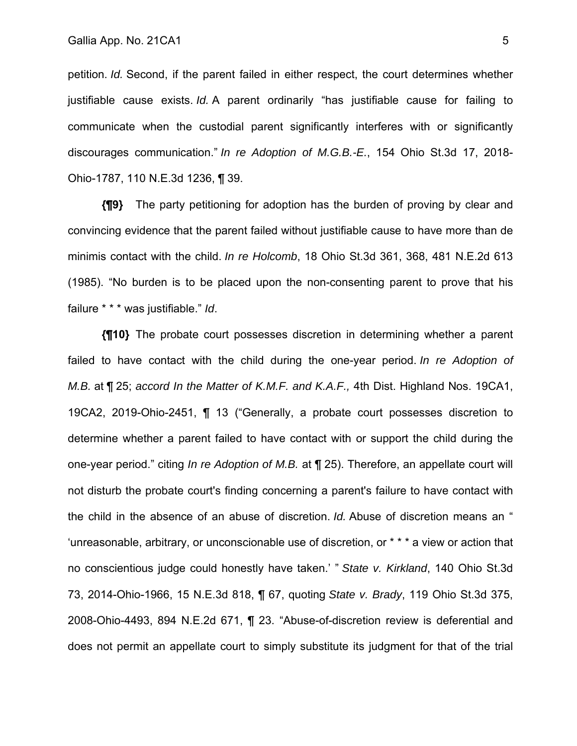petition. *Id.* Second, if the parent failed in either respect, the court determines whether justifiable cause exists. *Id.* A parent ordinarily "has justifiable cause for failing to communicate when the custodial parent significantly interferes with or significantly discourages communication." *In re Adoption of M.G.B.-E.*, 154 Ohio St.3d 17, 2018- Ohio-1787, 110 N.E.3d 1236, ¶ 39.

**{¶9}** The party petitioning for adoption has the burden of proving by clear and convincing evidence that the parent failed without justifiable cause to have more than de minimis contact with the child. *In re Holcomb*, 18 Ohio St.3d 361, 368, 481 N.E.2d 613 (1985). "No burden is to be placed upon the non-consenting parent to prove that his failure \* \* \* was justifiable." *Id*.

**{¶10}** The probate court possesses discretion in determining whether a parent failed to have contact with the child during the one-year period. *In re Adoption of M.B.* at ¶ 25; *accord In the Matter of K.M.F. and K.A.F.,* 4th Dist. Highland Nos. 19CA1, 19CA2, 2019-Ohio-2451, ¶ 13 ("Generally, a probate court possesses discretion to determine whether a parent failed to have contact with or support the child during the one-year period." citing *In re Adoption of M.B.* at ¶ 25). Therefore, an appellate court will not disturb the probate court's finding concerning a parent's failure to have contact with the child in the absence of an abuse of discretion. *Id.* Abuse of discretion means an " 'unreasonable, arbitrary, or unconscionable use of discretion, or \* \* \* a view or action that no conscientious judge could honestly have taken.' " *State v. Kirkland*, 140 Ohio St.3d 73, 2014-Ohio-1966, 15 N.E.3d 818, ¶ 67, quoting *State v. Brady*, 119 Ohio St.3d 375, 2008-Ohio-4493, 894 N.E.2d 671, ¶ 23. "Abuse-of-discretion review is deferential and does not permit an appellate court to simply substitute its judgment for that of the trial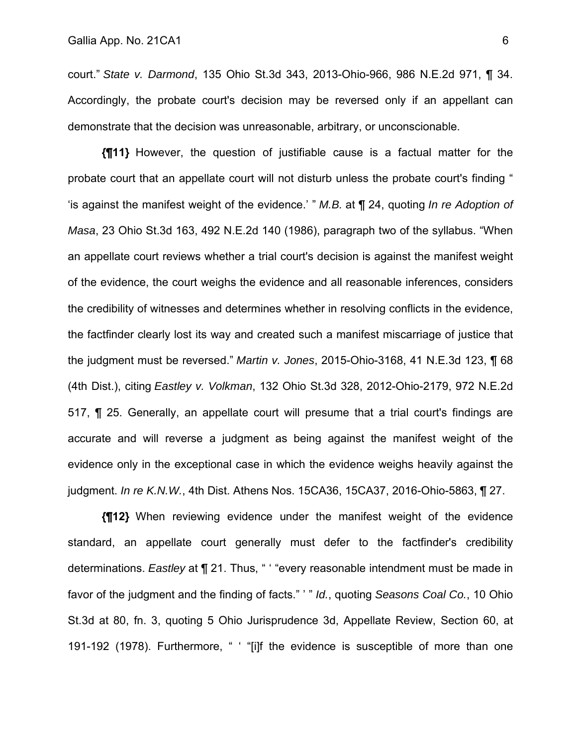court." *State v. Darmond*, 135 Ohio St.3d 343, 2013-Ohio-966, 986 N.E.2d 971, ¶ 34. Accordingly, the probate court's decision may be reversed only if an appellant can demonstrate that the decision was unreasonable, arbitrary, or unconscionable.

**{¶11}** However, the question of justifiable cause is a factual matter for the probate court that an appellate court will not disturb unless the probate court's finding " 'is against the manifest weight of the evidence.' " *M.B.* at ¶ 24, quoting *In re Adoption of Masa*, 23 Ohio St.3d 163, 492 N.E.2d 140 (1986), paragraph two of the syllabus. "When an appellate court reviews whether a trial court's decision is against the manifest weight of the evidence, the court weighs the evidence and all reasonable inferences, considers the credibility of witnesses and determines whether in resolving conflicts in the evidence, the factfinder clearly lost its way and created such a manifest miscarriage of justice that the judgment must be reversed." *Martin v. Jones*, 2015-Ohio-3168, 41 N.E.3d 123, ¶ 68 (4th Dist.), citing *Eastley v. Volkman*, 132 Ohio St.3d 328, 2012-Ohio-2179, 972 N.E.2d 517, ¶ 25. Generally, an appellate court will presume that a trial court's findings are accurate and will reverse a judgment as being against the manifest weight of the evidence only in the exceptional case in which the evidence weighs heavily against the judgment. *In re K.N.W.*, 4th Dist. Athens Nos. 15CA36, 15CA37, 2016-Ohio-5863, ¶ 27.

**{¶12}** When reviewing evidence under the manifest weight of the evidence standard, an appellate court generally must defer to the factfinder's credibility determinations. *Eastley* at ¶ 21. Thus, " ' "every reasonable intendment must be made in favor of the judgment and the finding of facts." ' " *Id.*, quoting *Seasons Coal Co.*, 10 Ohio St.3d at 80, fn. 3, quoting 5 Ohio Jurisprudence 3d, Appellate Review, Section 60, at 191-192 (1978). Furthermore, " ' "[i]f the evidence is susceptible of more than one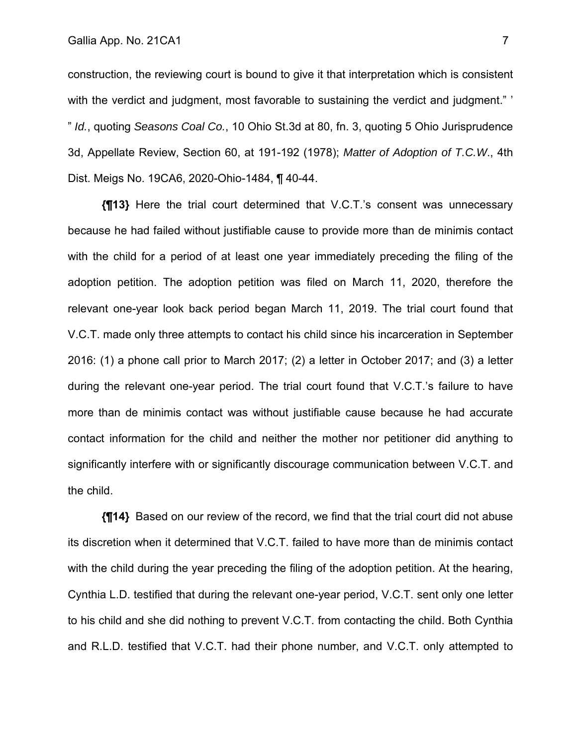construction, the reviewing court is bound to give it that interpretation which is consistent with the verdict and judgment, most favorable to sustaining the verdict and judgment." " *Id.*, quoting *Seasons Coal Co.*, 10 Ohio St.3d at 80, fn. 3, quoting 5 Ohio Jurisprudence 3d, Appellate Review, Section 60, at 191-192 (1978); *Matter of Adoption of T.C.W*., 4th Dist. Meigs No. 19CA6, 2020-Ohio-1484, ¶ 40-44.

**{¶13}** Here the trial court determined that V.C.T.'s consent was unnecessary because he had failed without justifiable cause to provide more than de minimis contact with the child for a period of at least one year immediately preceding the filing of the adoption petition. The adoption petition was filed on March 11, 2020, therefore the relevant one-year look back period began March 11, 2019. The trial court found that V.C.T. made only three attempts to contact his child since his incarceration in September 2016: (1) a phone call prior to March 2017; (2) a letter in October 2017; and (3) a letter during the relevant one-year period. The trial court found that V.C.T.'s failure to have more than de minimis contact was without justifiable cause because he had accurate contact information for the child and neither the mother nor petitioner did anything to significantly interfere with or significantly discourage communication between V.C.T. and the child.

**{¶14}** Based on our review of the record, we find that the trial court did not abuse its discretion when it determined that V.C.T. failed to have more than de minimis contact with the child during the year preceding the filing of the adoption petition. At the hearing, Cynthia L.D. testified that during the relevant one-year period, V.C.T. sent only one letter to his child and she did nothing to prevent V.C.T. from contacting the child. Both Cynthia and R.L.D. testified that V.C.T. had their phone number, and V.C.T. only attempted to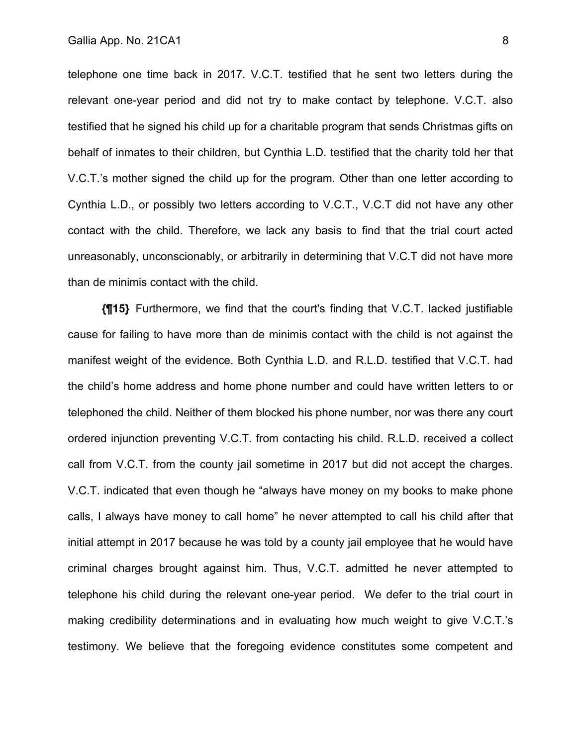telephone one time back in 2017. V.C.T. testified that he sent two letters during the relevant one-year period and did not try to make contact by telephone. V.C.T. also testified that he signed his child up for a charitable program that sends Christmas gifts on behalf of inmates to their children, but Cynthia L.D. testified that the charity told her that V.C.T.'s mother signed the child up for the program. Other than one letter according to Cynthia L.D., or possibly two letters according to V.C.T., V.C.T did not have any other contact with the child. Therefore, we lack any basis to find that the trial court acted unreasonably, unconscionably, or arbitrarily in determining that V.C.T did not have more than de minimis contact with the child.

**{¶15}** Furthermore, we find that the court's finding that V.C.T. lacked justifiable cause for failing to have more than de minimis contact with the child is not against the manifest weight of the evidence. Both Cynthia L.D. and R.L.D. testified that V.C.T. had the child's home address and home phone number and could have written letters to or telephoned the child. Neither of them blocked his phone number, nor was there any court ordered injunction preventing V.C.T. from contacting his child. R.L.D. received a collect call from V.C.T. from the county jail sometime in 2017 but did not accept the charges. V.C.T. indicated that even though he "always have money on my books to make phone calls, I always have money to call home" he never attempted to call his child after that initial attempt in 2017 because he was told by a county jail employee that he would have criminal charges brought against him. Thus, V.C.T. admitted he never attempted to telephone his child during the relevant one-year period. We defer to the trial court in making credibility determinations and in evaluating how much weight to give V.C.T.'s testimony. We believe that the foregoing evidence constitutes some competent and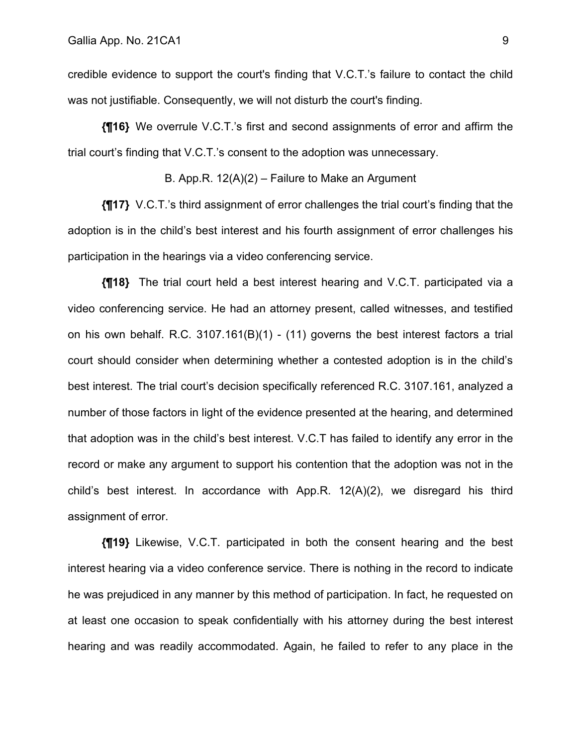credible evidence to support the court's finding that V.C.T.'s failure to contact the child was not justifiable. Consequently, we will not disturb the court's finding.

**{¶16}** We overrule V.C.T.'s first and second assignments of error and affirm the trial court's finding that V.C.T.'s consent to the adoption was unnecessary.

B. App.R. 12(A)(2) – Failure to Make an Argument

**{¶17}** V.C.T.'s third assignment of error challenges the trial court's finding that the adoption is in the child's best interest and his fourth assignment of error challenges his participation in the hearings via a video conferencing service.

**{¶18}** The trial court held a best interest hearing and V.C.T. participated via a video conferencing service. He had an attorney present, called witnesses, and testified on his own behalf. R.C. 3107.161(B)(1) - (11) governs the best interest factors a trial court should consider when determining whether a contested adoption is in the child's best interest. The trial court's decision specifically referenced R.C. 3107.161, analyzed a number of those factors in light of the evidence presented at the hearing, and determined that adoption was in the child's best interest. V.C.T has failed to identify any error in the record or make any argument to support his contention that the adoption was not in the child's best interest. In accordance with App.R. 12(A)(2), we disregard his third assignment of error.

**{¶19}** Likewise, V.C.T. participated in both the consent hearing and the best interest hearing via a video conference service. There is nothing in the record to indicate he was prejudiced in any manner by this method of participation. In fact, he requested on at least one occasion to speak confidentially with his attorney during the best interest hearing and was readily accommodated. Again, he failed to refer to any place in the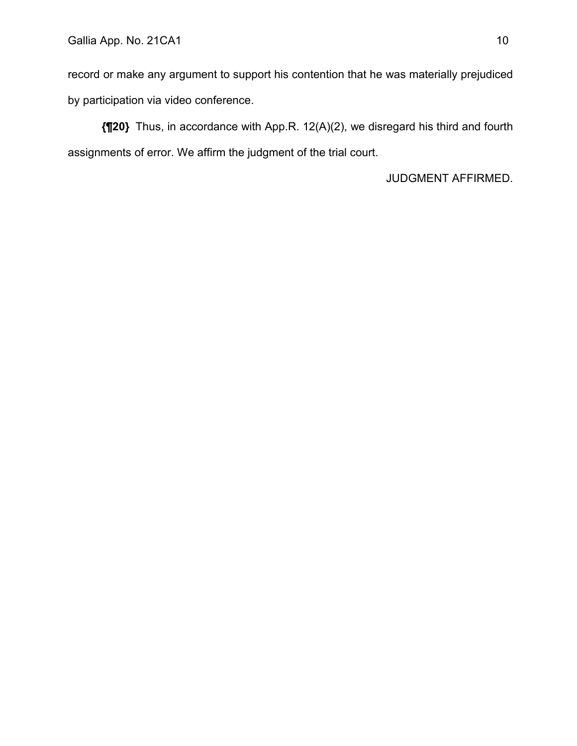record or make any argument to support his contention that he was materially prejudiced by participation via video conference.

**{¶20}** Thus, in accordance with App.R. 12(A)(2), we disregard his third and fourth assignments of error. We affirm the judgment of the trial court.

JUDGMENT AFFIRMED.